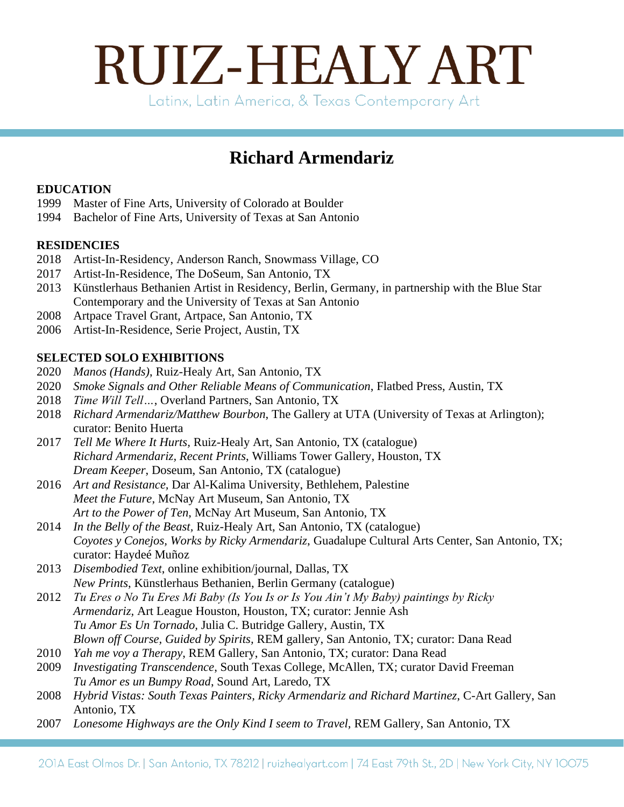Latinx, Latin America, & Texas Contemporary Art

#### **Richard Armendariz**

#### **EDUCATION**

- 1999 Master of Fine Arts, University of Colorado at Boulder
- 1994 Bachelor of Fine Arts, University of Texas at San Antonio

#### **RESIDENCIES**

- 2018 Artist-In-Residency, Anderson Ranch, Snowmass Village, CO
- 2017 Artist-In-Residence, The DoSeum, San Antonio, TX
- 2013 Künstlerhaus Bethanien Artist in Residency, Berlin, Germany, in partnership with the Blue Star Contemporary and the University of Texas at San Antonio
- 2008 Artpace Travel Grant, Artpace, San Antonio, TX
- 2006 Artist-In-Residence, Serie Project, Austin, TX

#### **SELECTED SOLO EXHIBITIONS**

- 2020 *Manos (Hands)*, Ruiz-Healy Art, San Antonio, TX
- 2020 *Smoke Signals and Other Reliable Means of Communication*, Flatbed Press, Austin, TX
- 2018 *Time Will Tell…*, Overland Partners, San Antonio, TX
- 2018 *Richard Armendariz/Matthew Bourbon*, The Gallery at UTA (University of Texas at Arlington); curator: Benito Huerta
- 2017 *Tell Me Where It Hurts,* Ruiz-Healy Art, San Antonio, TX (catalogue) *Richard Armendariz, Recent Prints*, Williams Tower Gallery, Houston, TX *Dream Keeper*, Doseum, San Antonio, TX (catalogue)
- 2016 *Art and Resistance,* Dar Al-Kalima University, Bethlehem, Palestine *Meet the Future*, McNay Art Museum, San Antonio, TX *Art to the Power of Ten*, McNay Art Museum, San Antonio, TX
- 2014 *In the Belly of the Beast,* Ruiz-Healy Art, San Antonio, TX (catalogue) *Coyotes y Conejos, Works by Ricky Armendariz*, Guadalupe Cultural Arts Center, San Antonio, TX; curator: Haydeé Muñoz
- 2013 *Disembodied Text*, online exhibition/journal, Dallas, TX *New Prints*, Künstlerhaus Bethanien, Berlin Germany (catalogue)
- 2012 *Tu Eres o No Tu Eres Mi Baby (Is You Is or Is You Ain't My Baby) paintings by Ricky Armendariz,* Art League Houston, Houston, TX; curator: Jennie Ash *Tu Amor Es Un Tornado,* Julia C. Butridge Gallery, Austin, TX *Blown off Course, Guided by Spirits,* REM gallery, San Antonio, TX; curator: Dana Read
- 2010 *Yah me voy a Therapy*, REM Gallery, San Antonio, TX; curator: Dana Read
- 2009 *Investigating Transcendence*, South Texas College, McAllen, TX; curator David Freeman *Tu Amor es un Bumpy Road*, Sound Art, Laredo, TX
- 2008 *Hybrid Vistas: South Texas Painters, Ricky Armendariz and Richard Martinez*, C-Art Gallery, San Antonio, TX
- 2007 *Lonesome Highways are the Only Kind I seem to Travel,* REM Gallery, San Antonio, TX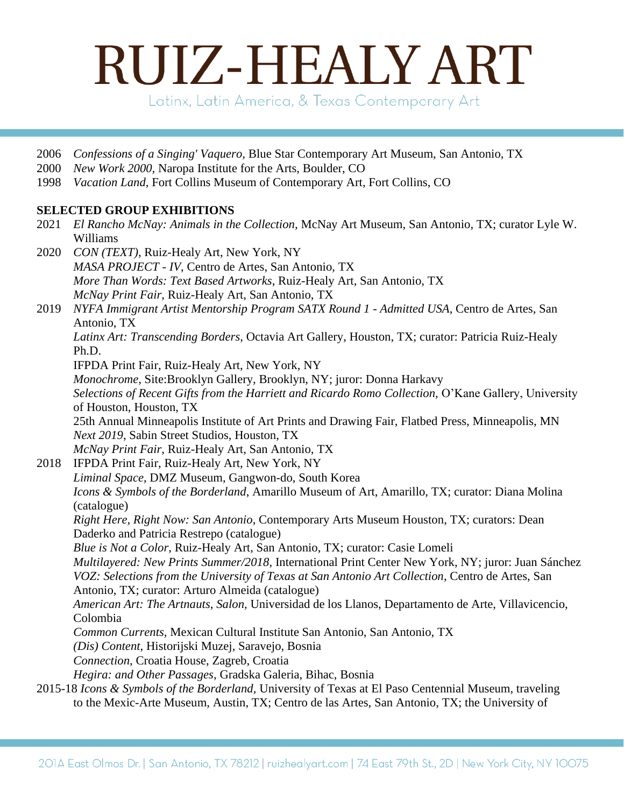Latinx, Latin America, & Texas Contemporary Art

- 2006 *Confessions of a Singing' Vaquero,* Blue Star Contemporary Art Museum, San Antonio, TX
- 2000 *New Work 2000,* Naropa Institute for the Arts, Boulder, CO
- 1998 *Vacation Land,* Fort Collins Museum of Contemporary Art, Fort Collins, CO

#### **SELECTED GROUP EXHIBITIONS**

- 2021 *El Rancho McNay: Animals in the Collection,* McNay Art Museum, San Antonio, TX; curator Lyle W. Williams 2020 *CON (TEXT)*, Ruiz-Healy Art, New York, NY
- *MASA PROJECT - IV*, Centro de Artes, San Antonio, TX *More Than Words: Text Based Artworks*, Ruiz-Healy Art, San Antonio, TX *McNay Print Fair*, Ruiz-Healy Art, San Antonio, TX
- 2019 *NYFA Immigrant Artist Mentorship Program SATX Round 1 - Admitted USA*, Centro de Artes, San Antonio, TX

*Latinx Art: Transcending Borders*, Octavia Art Gallery, Houston, TX; curator: Patricia Ruiz-Healy Ph.D.

IFPDA Print Fair, Ruiz-Healy Art, New York, NY

*Monochrome,* Site:Brooklyn Gallery, Brooklyn, NY; juror: Donna Harkavy Selections of Recent Gifts from the Harriett and Ricardo Romo Collection, O'Kane Gallery, University of Houston, Houston, TX

25th Annual Minneapolis Institute of Art Prints and Drawing Fair, Flatbed Press, Minneapolis, MN *Next 2019*, Sabin Street Studios, Houston, TX

*McNay Print Fair*, Ruiz-Healy Art, San Antonio, TX

- 2018 IFPDA Print Fair, Ruiz-Healy Art, New York, NY
	- *Liminal Space*, DMZ Museum, Gangwon-do, South Korea *Icons & Symbols of the Borderland*, Amarillo Museum of Art, Amarillo, TX; curator: Diana Molina (catalogue)

*Right Here, Right Now: San Antonio*, Contemporary Arts Museum Houston, TX; curators: Dean Daderko and Patricia Restrepo (catalogue)

*Blue is Not a Color*, Ruiz-Healy Art, San Antonio, TX; curator: Casie Lomeli

*Multilayered: New Prints Summer/2018*, International Print Center New York, NY; juror: Juan Sánchez *VOZ: Selections from the University of Texas at San Antonio Art Collection*, Centro de Artes, San Antonio, TX; curator: Arturo Almeida (catalogue)

*American Art: The Artnauts*, *Salon,* Universidad de los Llanos, Departamento de Arte, Villavicencio, Colombia

*Common Currents,* Mexican Cultural Institute San Antonio, San Antonio, TX

*(Dis) Content*, Historijski Muzej, Saravejo, Bosnia

*Connection*, Croatia House, Zagreb, Croatia

*Hegira: and Other Passages*, Gradska Galeria, Bihac, Bosnia

2015-18 *Icons & Symbols of the Borderland,* University of Texas at El Paso Centennial Museum, traveling to the Mexic-Arte Museum, Austin, TX; Centro de las Artes, San Antonio, TX; the University of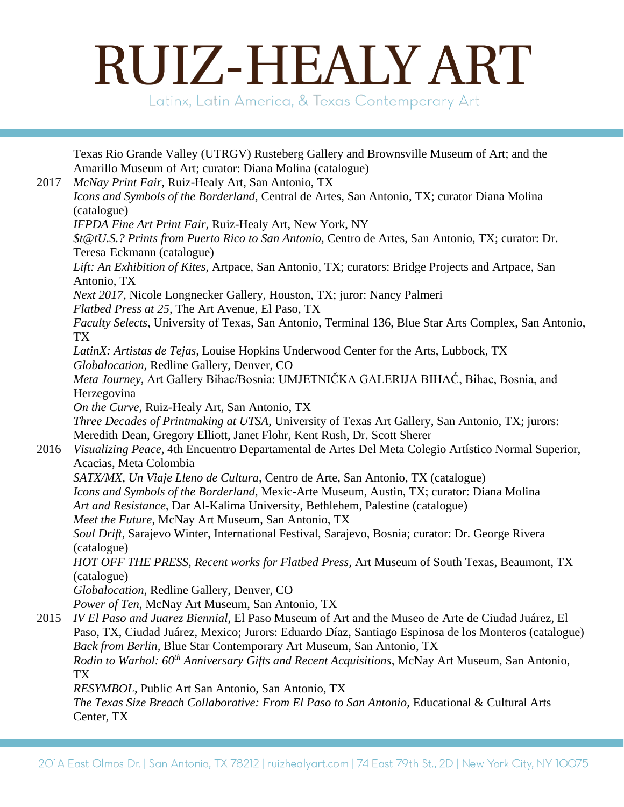Latinx, Latin America, & Texas Contemporary Art

|      | Texas Rio Grande Valley (UTRGV) Rusteberg Gallery and Brownsville Museum of Art; and the                    |
|------|-------------------------------------------------------------------------------------------------------------|
|      | Amarillo Museum of Art; curator: Diana Molina (catalogue)                                                   |
| 2017 | McNay Print Fair, Ruiz-Healy Art, San Antonio, TX                                                           |
|      | Icons and Symbols of the Borderland, Central de Artes, San Antonio, TX; curator Diana Molina                |
|      | (catalogue)                                                                                                 |
|      | IFPDA Fine Art Print Fair, Ruiz-Healy Art, New York, NY                                                     |
|      | \$t@tU.S.? Prints from Puerto Rico to San Antonio, Centro de Artes, San Antonio, TX; curator: Dr.           |
|      | Teresa Eckmann (catalogue)                                                                                  |
|      | Lift: An Exhibition of Kites, Artpace, San Antonio, TX; curators: Bridge Projects and Artpace, San          |
|      | Antonio, TX                                                                                                 |
|      | Next 2017, Nicole Longnecker Gallery, Houston, TX; juror: Nancy Palmeri                                     |
|      | Flatbed Press at 25, The Art Avenue, El Paso, TX                                                            |
|      | Faculty Selects, University of Texas, San Antonio, Terminal 136, Blue Star Arts Complex, San Antonio,       |
|      | <b>TX</b>                                                                                                   |
|      | LatinX: Artistas de Tejas, Louise Hopkins Underwood Center for the Arts, Lubbock, TX                        |
|      | Globalocation, Redline Gallery, Denver, CO                                                                  |
|      | Meta Journey, Art Gallery Bihac/Bosnia: UMJETNIČKA GALERIJA BIHAĆ, Bihac, Bosnia, and                       |
|      | Herzegovina                                                                                                 |
|      | On the Curve, Ruiz-Healy Art, San Antonio, TX                                                               |
|      | Three Decades of Printmaking at UTSA, University of Texas Art Gallery, San Antonio, TX; jurors:             |
|      | Meredith Dean, Gregory Elliott, Janet Flohr, Kent Rush, Dr. Scott Sherer                                    |
| 2016 | Visualizing Peace, 4th Encuentro Departamental de Artes Del Meta Colegio Artístico Normal Superior,         |
|      | Acacias, Meta Colombia                                                                                      |
|      | SATX/MX, Un Viaje Lleno de Cultura, Centro de Arte, San Antonio, TX (catalogue)                             |
|      | Icons and Symbols of the Borderland, Mexic-Arte Museum, Austin, TX; curator: Diana Molina                   |
|      | Art and Resistance, Dar Al-Kalima University, Bethlehem, Palestine (catalogue)                              |
|      | Meet the Future, McNay Art Museum, San Antonio, TX                                                          |
|      | Soul Drift, Sarajevo Winter, International Festival, Sarajevo, Bosnia; curator: Dr. George Rivera           |
|      | (catalogue)<br>HOT OFF THE PRESS, Recent works for Flatbed Press, Art Museum of South Texas, Beaumont, TX   |
|      | (catalogue)                                                                                                 |
|      | Globalocation, Redline Gallery, Denver, CO                                                                  |
|      | Power of Ten, McNay Art Museum, San Antonio, TX                                                             |
| 2015 | IV El Paso and Juarez Biennial, El Paso Museum of Art and the Museo de Arte de Ciudad Juárez, El            |
|      | Paso, TX, Ciudad Juárez, Mexico; Jurors: Eduardo Díaz, Santiago Espinosa de los Monteros (catalogue)        |
|      | Back from Berlin, Blue Star Contemporary Art Museum, San Antonio, TX                                        |
|      | Rodin to Warhol: 60 <sup>th</sup> Anniversary Gifts and Recent Acquisitions, McNay Art Museum, San Antonio, |
|      | <b>TX</b>                                                                                                   |
|      | RESYMBOL, Public Art San Antonio, San Antonio, TX                                                           |
|      | The Texas Size Breach Collaborative: From El Paso to San Antonio, Educational & Cultural Arts               |
|      | Center, TX                                                                                                  |
|      |                                                                                                             |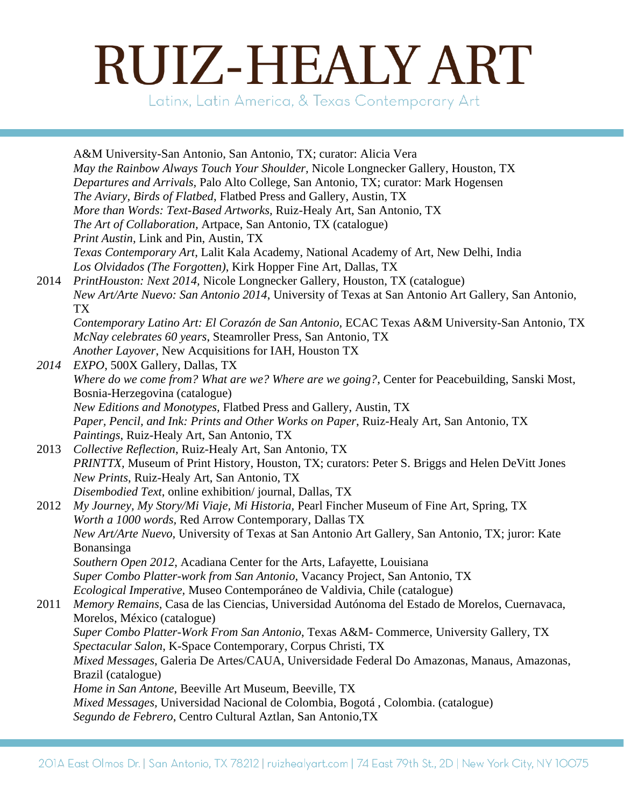Latinx, Latin America, & Texas Contemporary Art

A&M University-San Antonio, San Antonio, TX; curator: Alicia Vera *May the Rainbow Always Touch Your Shoulder,* Nicole Longnecker Gallery, Houston, TX *Departures and Arrivals,* Palo Alto College, San Antonio, TX; curator: Mark Hogensen *The Aviary, Birds of Flatbed*, Flatbed Press and Gallery, Austin, TX *More than Words: Text-Based Artworks,* Ruiz-Healy Art, San Antonio, TX *The Art of Collaboration,* Artpace, San Antonio, TX (catalogue) *Print Austin,* Link and Pin, Austin, TX *Texas Contemporary Art*, Lalit Kala Academy, National Academy of Art, New Delhi, India *Los Olvidados (The Forgotten)*, Kirk Hopper Fine Art, Dallas, TX 2014 *PrintHouston: Next 2014,* Nicole Longnecker Gallery, Houston, TX (catalogue) *New Art/Arte Nuevo: San Antonio 2014*, University of Texas at San Antonio Art Gallery, San Antonio, TX *Contemporary Latino Art: El Corazón de San Antonio,* ECAC Texas A&M University-San Antonio, TX *McNay celebrates 60 years*, Steamroller Press, San Antonio, TX *Another Layover*, New Acquisitions for IAH, Houston TX *2014 EXPO*, 500X Gallery, Dallas, TX *Where do we come from? What are we? Where are we going?*, Center for Peacebuilding, Sanski Most, Bosnia-Herzegovina (catalogue) *New Editions and Monotypes,* Flatbed Press and Gallery, Austin, TX *Paper, Pencil, and Ink: Prints and Other Works on Paper*, Ruiz-Healy Art, San Antonio, TX *Paintings*, Ruiz-Healy Art, San Antonio, TX 2013 *Collective Reflection*, Ruiz-Healy Art, San Antonio, TX *PRINTTX,* Museum of Print History, Houston, TX; curators: Peter S. Briggs and Helen DeVitt Jones *New Prints*, Ruiz-Healy Art, San Antonio, TX *Disembodied Text*, online exhibition/ journal, Dallas, TX 2012 *My Journey, My Story/Mi Viaje, Mi Historia,* Pearl Fincher Museum of Fine Art, Spring, TX *Worth a 1000 words,* Red Arrow Contemporary, Dallas TX *New Art/Arte Nuevo,* University of Texas at San Antonio Art Gallery, San Antonio, TX; juror: Kate Bonansinga *Southern Open 2012*, Acadiana Center for the Arts, Lafayette, Louisiana *Super Combo Platter-work from San Antonio*, Vacancy Project, San Antonio, TX *Ecological Imperative,* Museo Contemporáneo de Valdivia, Chile (catalogue) 2011 *Memory Remains,* Casa de las Ciencias, Universidad Autónoma del Estado de Morelos, Cuernavaca, Morelos, México (catalogue) *Super Combo Platter-Work From San Antonio*, Texas A&M- Commerce, University Gallery, TX *Spectacular Salon*, K-Space Contemporary, Corpus Christi, TX *Mixed Messages*, Galeria De Artes/CAUA, Universidade Federal Do Amazonas, Manaus, Amazonas, Brazil (catalogue) *Home in San Antone*, Beeville Art Museum, Beeville, TX *Mixed Messages,* Universidad Nacional de Colombia, Bogotá , Colombia. (catalogue) *Segundo de Febrero*, Centro Cultural Aztlan, San Antonio,TX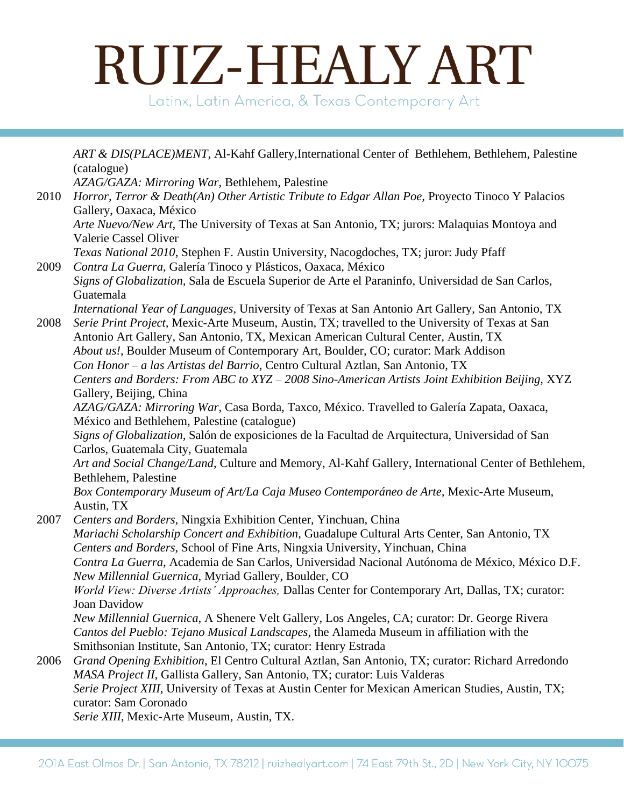Latinx, Latin America, & Texas Contemporary Art

*ART & DIS(PLACE)MENT,* Al-Kahf Gallery,International Center of Bethlehem, Bethlehem, Palestine (catalogue)

*AZAG/GAZA: Mirroring War*, Bethlehem, Palestine

2010 *Horror, Terror & Death(An) Other Artistic Tribute to Edgar Allan Poe,* Proyecto Tinoco Y Palacios Gallery, Oaxaca, México *Arte Nuevo/New Art,* The University of Texas at San Antonio, TX; jurors: Malaquias Montoya and Valerie Cassel Oliver *Texas National 2010*, Stephen F. Austin University, Nacogdoches, TX; juror: Judy Pfaff 2009 *Contra La Guerra*, Galería Tinoco y Plásticos, Oaxaca, México *Signs of Globalization,* Sala de Escuela Superior de Arte el Paraninfo, Universidad de San Carlos, Guatemala *International Year of Languages,* University of Texas at San Antonio Art Gallery, San Antonio, TX

2008 *Serie Print Project,* Mexic-Arte Museum, Austin, TX; travelled to the University of Texas at San Antonio Art Gallery, San Antonio, TX, Mexican American Cultural Center, Austin, TX *About us!*, Boulder Museum of Contemporary Art, Boulder, CO; curator: Mark Addison *Con Honor – a las Artistas del Barrio*, Centro Cultural Aztlan, San Antonio, TX *Centers and Borders: From ABC to XYZ – 2008 Sino-American Artists Joint Exhibition Beijing,* XYZ Gallery, Beijing, China *AZAG/GAZA: Mirroring War*, Casa Borda, Taxco, México. Travelled to Galería Zapata, Oaxaca, México and Bethlehem, Palestine (catalogue) *Signs of Globalization,* Salón de exposiciones de la Facultad de Arquitectura, Universidad of San

Carlos, Guatemala City, Guatemala *Art and Social Change/Land*, Culture and Memory, Al-Kahf Gallery, International Center of Bethlehem, Bethlehem, Palestine

*Box Contemporary Museum of Art/La Caja Museo Contemporáneo de Arte,* Mexic-Arte Museum, Austin, TX

2007 *Centers and Borders,* Ningxia Exhibition Center, Yinchuan, China *Mariachi Scholarship Concert and Exhibition*, Guadalupe Cultural Arts Center, San Antonio, TX *Centers and Borders,* School of Fine Arts, Ningxia University, Yinchuan, China *Contra La Guerra*, Academia de San Carlos, Universidad Nacional Autónoma de México, México D.F. *New Millennial Guernica*, Myriad Gallery, Boulder, CO *World View: Diverse Artists' Approaches,* Dallas Center for Contemporary Art, Dallas, TX; curator: Joan Davidow *New Millennial Guernica,* A Shenere Velt Gallery, Los Angeles, CA; curator: Dr. George Rivera *Cantos del Pueblo: Tejano Musical Landscapes*, the Alameda Museum in affiliation with the Smithsonian Institute, San Antonio, TX; curator: Henry Estrada 2006 *Grand Opening Exhibition*, El Centro Cultural Aztlan, San Antonio, TX; curator: Richard Arredondo *MASA Project II,* Gallista Gallery, San Antonio, TX; curator: Luis Valderas *Serie Project XIII,* University of Texas at Austin Center for Mexican American Studies, Austin, TX;

curator: Sam Coronado

*Serie XIII*, Mexic-Arte Museum, Austin, TX.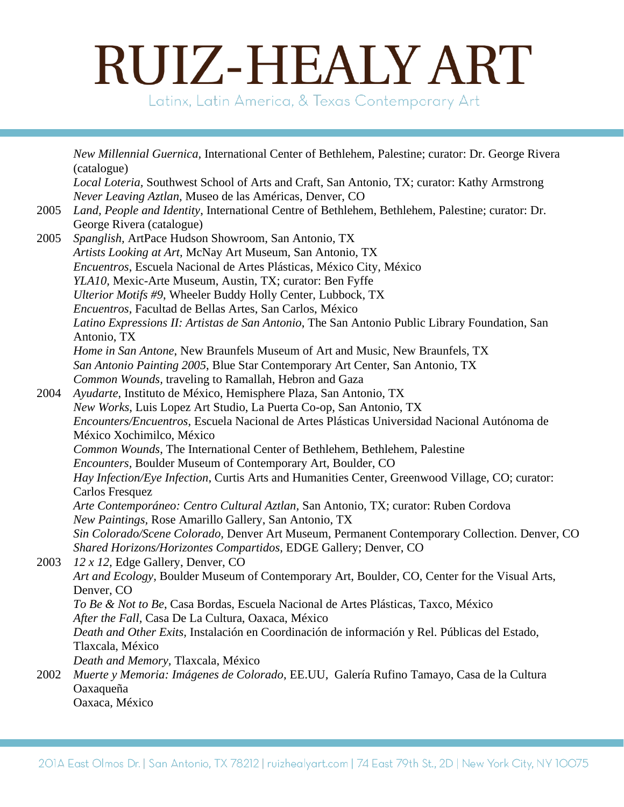Latinx, Latin America, & Texas Contemporary Art

*New Millennial Guernica,* International Center of Bethlehem, Palestine; curator: Dr. George Rivera (catalogue)

*Local Loteria,* Southwest School of Arts and Craft, San Antonio, TX; curator: Kathy Armstrong *Never Leaving Aztlan,* Museo de las Américas, Denver, CO

- 2005 *Land, People and Identity*, International Centre of Bethlehem, Bethlehem, Palestine; curator: Dr. George Rivera (catalogue)
- 2005 *Spanglish,* ArtPace Hudson Showroom, San Antonio, TX *Artists Looking at Art,* McNay Art Museum, San Antonio, TX *Encuentros*, Escuela Nacional de Artes Plásticas, México City, México *YLA10,* Mexic-Arte Museum, Austin, TX; curator: Ben Fyffe *Ulterior Motifs #9*, Wheeler Buddy Holly Center, Lubbock, TX *Encuentros,* Facultad de Bellas Artes, San Carlos, México *Latino Expressions II: Artistas de San Antonio*, The San Antonio Public Library Foundation, San Antonio, TX *Home in San Antone*, New Braunfels Museum of Art and Music, New Braunfels, TX *San Antonio Painting 2005*, Blue Star Contemporary Art Center, San Antonio, TX *Common Wounds,* traveling to Ramallah, Hebron and Gaza 2004 *Ayudarte*, Instituto de México, Hemisphere Plaza, San Antonio, TX *New Works*, Luis Lopez Art Studio, La Puerta Co-op, San Antonio, TX
- *Encounters/Encuentros*, Escuela Nacional de Artes Plásticas Universidad Nacional Autónoma de México Xochimilco, México *Common Wounds*, The International Center of Bethlehem, Bethlehem, Palestine *Encounters,* Boulder Museum of Contemporary Art, Boulder, CO *Hay Infection/Eye Infection*, Curtis Arts and Humanities Center, Greenwood Village, CO; curator: Carlos Fresquez *Arte Contemporáneo: Centro Cultural Aztlan,* San Antonio, TX; curator: Ruben Cordova *New Paintings,* Rose Amarillo Gallery, San Antonio, TX

*Sin Colorado/Scene Colorado,* Denver Art Museum, Permanent Contemporary Collection. Denver, CO *Shared Horizons/Horizontes Compartidos,* EDGE Gallery; Denver, CO

2003 *12 x 12,* Edge Gallery, Denver, CO *Art and Ecology,* Boulder Museum of Contemporary Art, Boulder, CO, Center for the Visual Arts, Denver, CO *To Be & Not to Be*, Casa Bordas, Escuela Nacional de Artes Plásticas, Taxco, México *After the Fall,* Casa De La Cultura, Oaxaca, México *Death and Other Exits,* Instalación en Coordinación de información y Rel. Públicas del Estado, Tlaxcala, México *Death and Memory,* Tlaxcala, México 2002 *Muerte y Memoria: Imágenes de Colorado*, EE.UU, Galería Rufino Tamayo, Casa de la Cultura

Oaxaqueña Oaxaca, México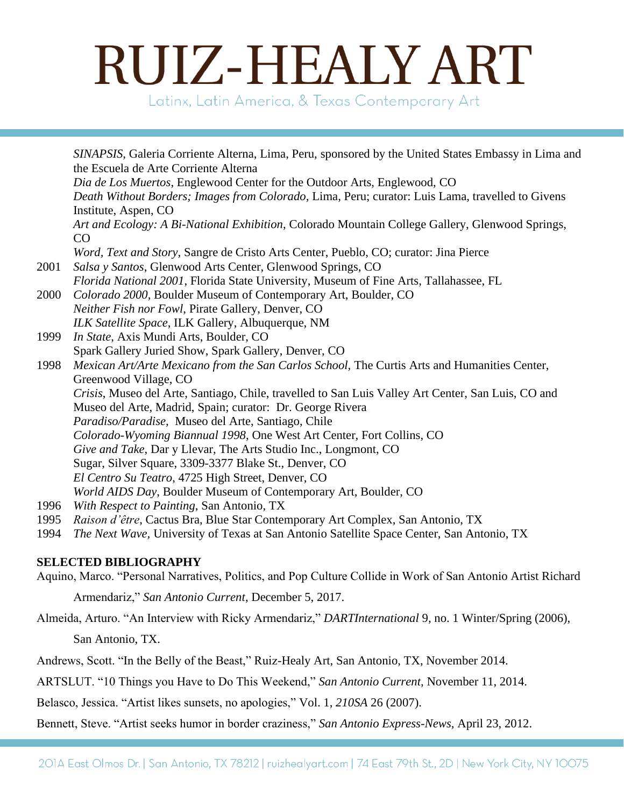Latinx, Latin America, & Texas Contemporary Art

*SINAPSIS,* Galeria Corriente Alterna, Lima, Peru, sponsored by the United States Embassy in Lima and the Escuela de Arte Corriente Alterna *Dia de Los Muertos*, Englewood Center for the Outdoor Arts, Englewood, CO *Death Without Borders; Images from Colorado,* Lima, Peru; curator: Luis Lama, travelled to Givens Institute, Aspen, CO *Art and Ecology: A Bi-National Exhibition*, Colorado Mountain College Gallery, Glenwood Springs, CO *Word, Text and Story,* Sangre de Cristo Arts Center, Pueblo, CO; curator: Jina Pierce 2001 *Salsa y Santos*, Glenwood Arts Center, Glenwood Springs, CO *Florida National 2001*, Florida State University, Museum of Fine Arts, Tallahassee, FL 2000 *Colorado 2000,* Boulder Museum of Contemporary Art, Boulder, CO *Neither Fish nor Fowl*, Pirate Gallery, Denver, CO *ILK Satellite Space*, ILK Gallery, Albuquerque, NM 1999 *In State*, Axis Mundi Arts, Boulder, CO Spark Gallery Juried Show, Spark Gallery, Denver, CO 1998 *Mexican Art/Arte Mexicano from the San Carlos School,* The Curtis Arts and Humanities Center, Greenwood Village, CO *Crisis*, Museo del Arte, Santiago, Chile, travelled to San Luis Valley Art Center, San Luis, CO and Museo del Arte, Madrid, Spain; curator: Dr. George Rivera *Paradiso/Paradise,* Museo del Arte, Santiago, Chile *Colorado-Wyoming Biannual 1998*, One West Art Center, Fort Collins, CO *Give and Take*, Dar y Llevar, The Arts Studio Inc., Longmont, CO Sugar, Silver Square, 3309-3377 Blake St., Denver, CO *El Centro Su Teatro*, 4725 High Street, Denver, CO *World AIDS Day*, Boulder Museum of Contemporary Art, Boulder, CO 1996 *With Respect to Painting*, San Antonio, TX

- 1995 *Raison d'être*, Cactus Bra, Blue Star Contemporary Art Complex, San Antonio, TX
- 1994 *The Next Wave,* University of Texas at San Antonio Satellite Space Center, San Antonio, TX

#### **SELECTED BIBLIOGRAPHY**

Aquino, Marco. "Personal Narratives, Politics, and Pop Culture Collide in Work of San Antonio Artist Richard

Armendariz," *San Antonio Current*, December 5, 2017.

Almeida, Arturo. "An Interview with Ricky Armendariz," *DARTInternational* 9*,* no. 1 Winter/Spring (2006),

San Antonio, TX.

Andrews, Scott. "In the Belly of the Beast," Ruiz-Healy Art, San Antonio, TX, November 2014.

ARTSLUT. "10 Things you Have to Do This Weekend," *San Antonio Current,* November 11, 2014.

Belasco, Jessica. "Artist likes sunsets, no apologies," Vol. 1, *210SA* 26 (2007).

Bennett, Steve. "Artist seeks humor in border craziness," *San Antonio Express-News,* April 23, 2012.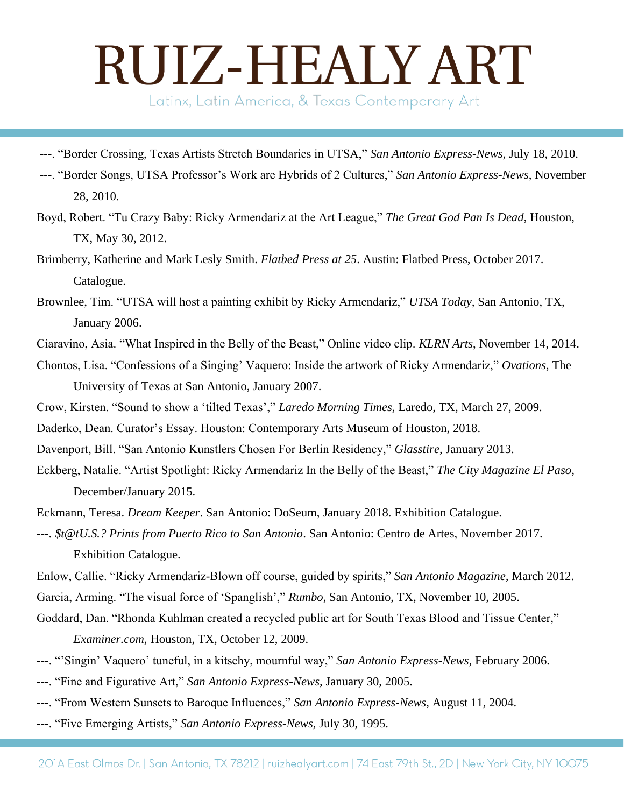Latinx, Latin America, & Texas Contemporary Art

- ---. "Border Crossing, Texas Artists Stretch Boundaries in UTSA," *San Antonio Express-News*, July 18, 2010.
- ---. "Border Songs, UTSA Professor's Work are Hybrids of 2 Cultures," *San Antonio Express-News*, November 28, 2010.
- Boyd, Robert. "Tu Crazy Baby: Ricky Armendariz at the Art League," *The Great God Pan Is Dead*, Houston, TX, May 30, 2012.
- Brimberry, Katherine and Mark Lesly Smith. *Flatbed Press at 25*. Austin: Flatbed Press, October 2017. Catalogue.
- Brownlee, Tim. "UTSA will host a painting exhibit by Ricky Armendariz," *UTSA Today,* San Antonio, TX, January 2006.
- Ciaravino, Asia. "What Inspired in the Belly of the Beast," Online video clip. *KLRN Arts*, November 14, 2014.
- Chontos, Lisa. "Confessions of a Singing' Vaquero: Inside the artwork of Ricky Armendariz," *Ovations*, The University of Texas at San Antonio, January 2007.
- Crow, Kirsten. "Sound to show a 'tilted Texas'," *Laredo Morning Times,* Laredo, TX, March 27, 2009.
- Daderko, Dean. Curator's Essay. Houston: Contemporary Arts Museum of Houston, 2018.
- Davenport, Bill. "San Antonio Kunstlers Chosen For Berlin Residency," *Glasstire*, January 2013.
- Eckberg, Natalie. "Artist Spotlight: Ricky Armendariz In the Belly of the Beast," *The City Magazine El Paso*, December/January 2015.
- Eckmann, Teresa. *Dream Keeper*. San Antonio: DoSeum, January 2018. Exhibition Catalogue.
- ---. *\$t@tU.S.? Prints from Puerto Rico to San Antonio*. San Antonio: Centro de Artes, November 2017. Exhibition Catalogue.
- Enlow, Callie. "Ricky Armendariz-Blown off course, guided by spirits," *San Antonio Magazine,* March 2012. Garcia, Arming. "The visual force of 'Spanglish'," *Rumbo*, San Antonio, TX, November 10, 2005.
- Goddard, Dan. "Rhonda Kuhlman created a recycled public art for South Texas Blood and Tissue Center," *Examiner.com*, Houston, TX, October 12, 2009.
- ---. "'Singin' Vaquero' tuneful, in a kitschy, mournful way," *San Antonio Express-News,* February 2006.
- ---. "Fine and Figurative Art," *San Antonio Express-News,* January 30, 2005.
- ---. "From Western Sunsets to Baroque Influences," *San Antonio Express-News,* August 11, 2004.
- ---. "Five Emerging Artists," *San Antonio Express-News*, July 30, 1995.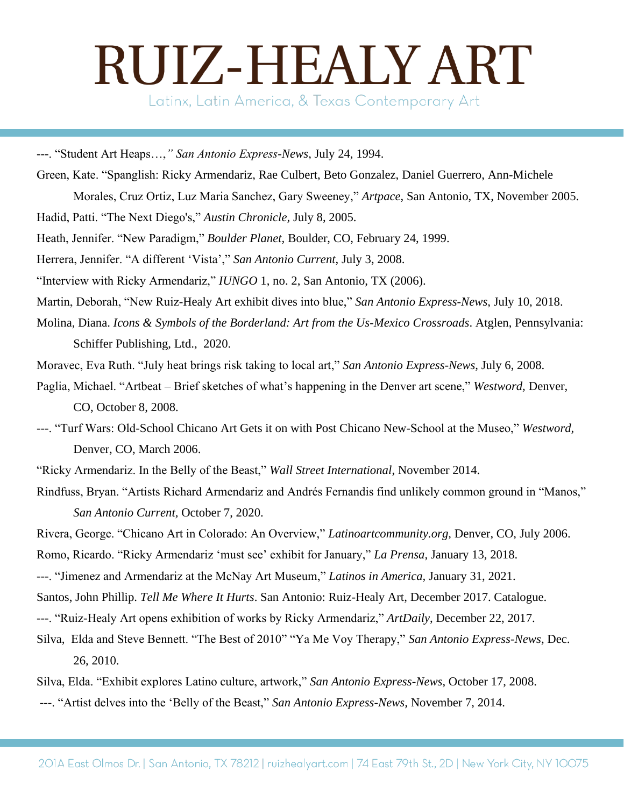Latinx, Latin America, & Texas Contemporary Art

---. "Student Art Heaps…,*" San Antonio Express-News*, July 24, 1994.

Green, Kate. "Spanglish: Ricky Armendariz, Rae Culbert, Beto Gonzalez, Daniel Guerrero, Ann-Michele

Morales, Cruz Ortiz, Luz Maria Sanchez, Gary Sweeney," *Artpace*, San Antonio, TX, November 2005.

Hadid, Patti. "The Next Diego's," *Austin Chronicle,* July 8, 2005.

Heath, Jennifer. "New Paradigm," *Boulder Planet,* Boulder, CO, February 24, 1999.

Herrera, Jennifer. "A different 'Vista'," *San Antonio Current*, July 3, 2008.

"Interview with Ricky Armendariz," *IUNGO* 1, no. 2, San Antonio, TX (2006).

Martin, Deborah, "New Ruiz-Healy Art exhibit dives into blue," *San Antonio Express-News*, July 10, 2018.

Molina, Diana. *Icons & Symbols of the Borderland: Art from the Us-Mexico Crossroads*. Atglen, Pennsylvania: Schiffer Publishing, Ltd., 2020.

Moravec, Eva Ruth. "July heat brings risk taking to local art," *San Antonio Express-News,* July 6, 2008.

Paglia, Michael. "Artbeat – Brief sketches of what's happening in the Denver art scene," *Westword,* Denver, CO, October 8, 2008.

"Ricky Armendariz. In the Belly of the Beast," *Wall Street International*, November 2014.

Rindfuss, Bryan. "Artists Richard Armendariz and Andrés Fernandis find unlikely common ground in "Manos," *San Antonio Current,* October 7, 2020.

Rivera, George. "Chicano Art in Colorado: An Overview," *Latinoartcommunity.org,* Denver, CO, July 2006.

Romo, Ricardo. "Ricky Armendariz 'must see' exhibit for January," *La Prensa*, January 13, 2018.

---. "Jimenez and Armendariz at the McNay Art Museum," *Latinos in America,* January 31, 2021.

Santos, John Phillip. *Tell Me Where It Hurts*. San Antonio: Ruiz-Healy Art, December 2017. Catalogue.

---. "Ruiz-Healy Art opens exhibition of works by Ricky Armendariz," *ArtDaily*, December 22, 2017.

Silva, Elda and Steve Bennett. "The Best of 2010" "Ya Me Voy Therapy," *San Antonio Express-News,* Dec. 26, 2010.

Silva, Elda. "Exhibit explores Latino culture, artwork," *San Antonio Express-News*, October 17, 2008.

---. "Artist delves into the 'Belly of the Beast," *San Antonio Express-News,* November 7, 2014.

<sup>---. &</sup>quot;Turf Wars: Old-School Chicano Art Gets it on with Post Chicano New-School at the Museo," *Westword,* Denver, CO, March 2006.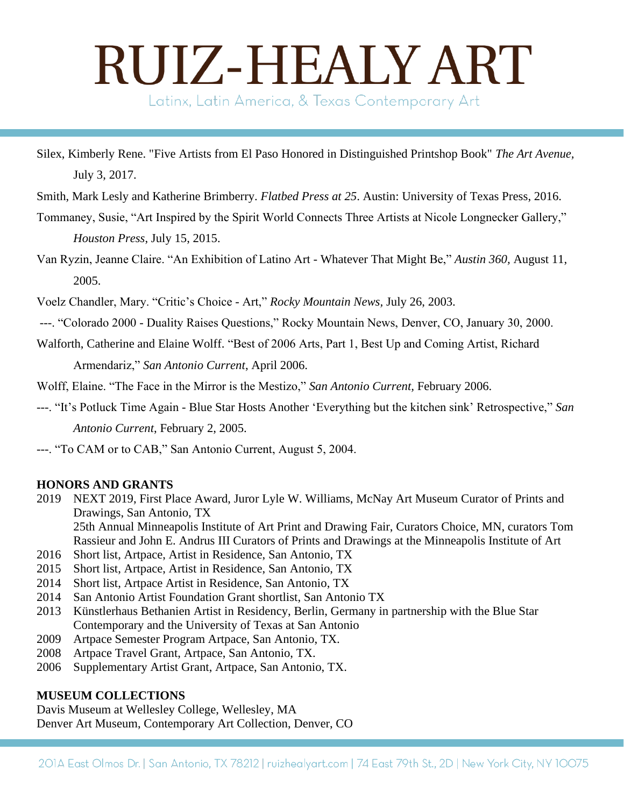Latinx, Latin America, & Texas Contemporary Art

- Silex, Kimberly Rene. "Five Artists from El Paso Honored in Distinguished Printshop Book" *The Art Avenue,* July 3, 2017.
- Smith, Mark Lesly and Katherine Brimberry. *Flatbed Press at 25*. Austin: University of Texas Press, 2016.
- Tommaney, Susie, "Art Inspired by the Spirit World Connects Three Artists at Nicole Longnecker Gallery," *Houston Press*, July 15, 2015.
- Van Ryzin, Jeanne Claire. "An Exhibition of Latino Art Whatever That Might Be," *Austin 360,* August 11, 2005.
- Voelz Chandler, Mary. "Critic's Choice Art," *Rocky Mountain News,* July 26, 2003.
- ---. "Colorado 2000 Duality Raises Questions," Rocky Mountain News, Denver, CO, January 30, 2000.
- Walforth, Catherine and Elaine Wolff. "Best of 2006 Arts, Part 1, Best Up and Coming Artist, Richard

Armendariz," *San Antonio Current*, April 2006.

Wolff, Elaine. "The Face in the Mirror is the Mestizo," *San Antonio Current,* February 2006.

---. "It's Potluck Time Again - Blue Star Hosts Another 'Everything but the kitchen sink' Retrospective," *San Antonio Current*, February 2, 2005.

---. "To CAM or to CAB," San Antonio Current, August 5, 2004.

#### **HONORS AND GRANTS**

- 2019 NEXT 2019, First Place Award, Juror Lyle W. Williams, McNay Art Museum Curator of Prints and Drawings, San Antonio, TX 25th Annual Minneapolis Institute of Art Print and Drawing Fair, Curators Choice, MN, curators Tom Rassieur and John E. Andrus III Curators of Prints and Drawings at the Minneapolis Institute of Art
- 2016 Short list, Artpace, Artist in Residence, San Antonio, TX
- 2015 Short list, Artpace, Artist in Residence, San Antonio, TX
- 2014 Short list, Artpace Artist in Residence, San Antonio, TX
- 2014 San Antonio Artist Foundation Grant shortlist, San Antonio TX
- 2013 Künstlerhaus Bethanien Artist in Residency, Berlin, Germany in partnership with the Blue Star Contemporary and the University of Texas at San Antonio
- 2009 Artpace Semester Program Artpace, San Antonio, TX.
- 2008 Artpace Travel Grant, Artpace, San Antonio, TX.
- 2006 Supplementary Artist Grant, Artpace, San Antonio, TX.

#### **MUSEUM COLLECTIONS**

Davis Museum at Wellesley College, Wellesley, MA Denver Art Museum, Contemporary Art Collection, Denver, CO